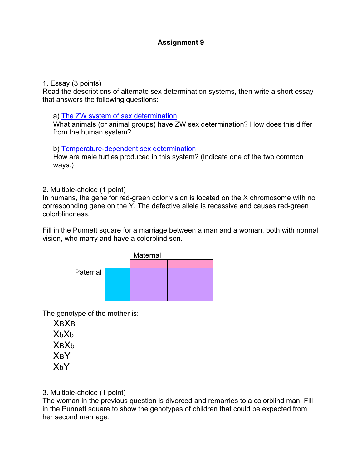# **Assignment 9**

#### 1. Essay (3 points)

Read the descriptions of alternate sex determination systems, then write a short essay that answers the following questions:

#### a) The ZW system of sex determination

What animals (or animal groups) have ZW sex determination? How does this differ from the human system?

### b) Temperature-dependent sex determination

How are male turtles produced in this system? (Indicate one of the two common ways.)

### 2. Multiple-choice (1 point)

In humans, the gene for red-green color vision is located on the X chromosome with no corresponding gene on the Y. The defective allele is recessive and causes red-green colorblindness.

Fill in the Punnett square for a marriage between a man and a woman, both with normal vision, who marry and have a colorblind son.

|          |  | Maternal |  |
|----------|--|----------|--|
|          |  |          |  |
| Paternal |  |          |  |
|          |  |          |  |
|          |  |          |  |

The genotype of the mother is:

**XBXB** XbXb **X<sub>B</sub>X<sub>b</sub>** XBY  $X<sub>h</sub>Y$ 

3. Multiple-choice (1 point)

The woman in the previous question is divorced and remarries to a colorblind man. Fill in the Punnett square to show the genotypes of children that could be expected from her second marriage.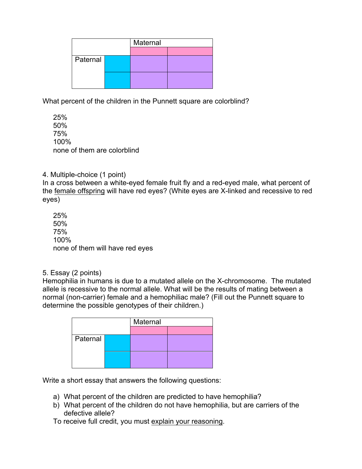|          | Maternal |  |
|----------|----------|--|
|          |          |  |
| Paternal |          |  |
|          |          |  |

What percent of the children in the Punnett square are colorblind?

25% 50% 75% 100% none of them are colorblind

4. Multiple-choice (1 point)

In a cross between a white-eyed female fruit fly and a red-eyed male, what percent of the female offspring will have red eyes? (White eyes are X-linked and recessive to red eyes)

25% 50% 75% 100% none of them will have red eyes

5. Essay (2 points)

Hemophilia in humans is due to a mutated allele on the X-chromosome. The mutated allele is recessive to the normal allele. What will be the results of mating between a normal (non-carrier) female and a hemophiliac male? (Fill out the Punnett square to determine the possible genotypes of their children.)

|          | Maternal |  |
|----------|----------|--|
|          |          |  |
| Paternal |          |  |
|          |          |  |
|          |          |  |
|          |          |  |

Write a short essay that answers the following questions:

- a) What percent of the children are predicted to have hemophilia?
- b) What percent of the children do not have hemophilia, but are carriers of the defective allele?
- To receive full credit, you must explain your reasoning.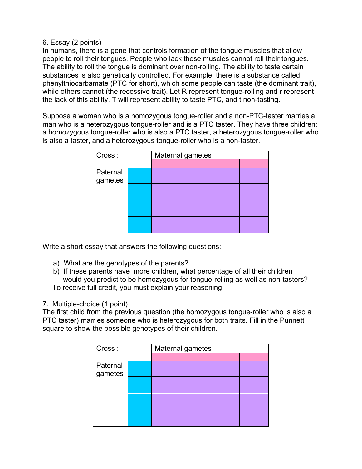6. Essay (2 points)

In humans, there is a gene that controls formation of the tongue muscles that allow people to roll their tongues. People who lack these muscles cannot roll their tongues. The ability to roll the tongue is dominant over non-rolling. The ability to taste certain substances is also genetically controlled. For example, there is a substance called phenylthiocarbamate (PTC for short), which some people can taste (the dominant trait), while others cannot (the recessive trait). Let R represent tongue-rolling and r represent the lack of this ability. T will represent ability to taste PTC, and t non-tasting.

Suppose a woman who is a homozygous tongue-roller and a non-PTC-taster marries a man who is a heterozygous tongue-roller and is a PTC taster. They have three children: a homozygous tongue-roller who is also a PTC taster, a heterozygous tongue-roller who is also a taster, and a heterozygous tongue-roller who is a non-taster.

| Cross:   |  | Maternal gametes |  |  |  |  |
|----------|--|------------------|--|--|--|--|
|          |  |                  |  |  |  |  |
| Paternal |  |                  |  |  |  |  |
| gametes  |  |                  |  |  |  |  |
|          |  |                  |  |  |  |  |
|          |  |                  |  |  |  |  |
|          |  |                  |  |  |  |  |
|          |  |                  |  |  |  |  |
|          |  |                  |  |  |  |  |
|          |  |                  |  |  |  |  |

Write a short essay that answers the following questions:

- a) What are the genotypes of the parents?
- b) If these parents have more children, what percentage of all their children would you predict to be homozygous for tongue-rolling as well as non-tasters? To receive full credit, you must explain your reasoning.

# 7. Multiple-choice (1 point)

The first child from the previous question (the homozygous tongue-roller who is also a PTC taster) marries someone who is heterozygous for both traits. Fill in the Punnett square to show the possible genotypes of their children.

| Cross:              |  | Maternal gametes |  |  |  |  |
|---------------------|--|------------------|--|--|--|--|
|                     |  |                  |  |  |  |  |
| Paternal<br>gametes |  |                  |  |  |  |  |
|                     |  |                  |  |  |  |  |
|                     |  |                  |  |  |  |  |
|                     |  |                  |  |  |  |  |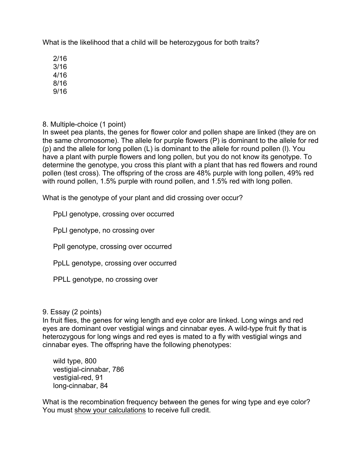What is the likelihood that a child will be heterozygous for both traits?

2/16

3/16

4/16 8/16

9/16

8. Multiple-choice (1 point)

In sweet pea plants, the genes for flower color and pollen shape are linked (they are on the same chromosome). The allele for purple flowers (P) is dominant to the allele for red (p) and the allele for long pollen (L) is dominant to the allele for round pollen (l). You have a plant with purple flowers and long pollen, but you do not know its genotype. To determine the genotype, you cross this plant with a plant that has red flowers and round pollen (test cross). The offspring of the cross are 48% purple with long pollen, 49% red with round pollen, 1.5% purple with round pollen, and 1.5% red with long pollen.

What is the genotype of your plant and did crossing over occur?

PpLl genotype, crossing over occurred

PpLl genotype, no crossing over

Ppll genotype, crossing over occurred

PpLL genotype, crossing over occurred

PPLL genotype, no crossing over

9. Essay (2 points)

In fruit flies, the genes for wing length and eye color are linked. Long wings and red eyes are dominant over vestigial wings and cinnabar eyes. A wild-type fruit fly that is heterozygous for long wings and red eyes is mated to a fly with vestigial wings and cinnabar eyes. The offspring have the following phenotypes:

wild type, 800 vestigial-cinnabar, 786 vestigial-red, 91 long-cinnabar, 84

What is the recombination frequency between the genes for wing type and eye color? You must show your calculations to receive full credit.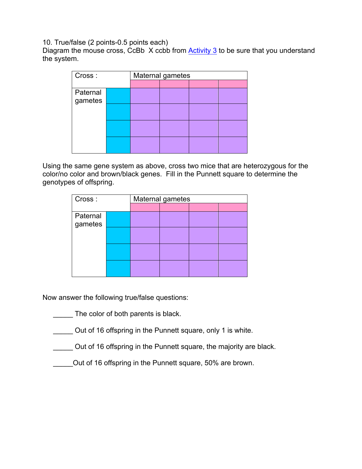10. True/false (2 points-0.5 points each)

Diagram the mouse cross, CcBb X ccbb from Activity 3 to be sure that you understand the system.

| Cross:   |  | Maternal gametes |  |  |  |  |
|----------|--|------------------|--|--|--|--|
|          |  |                  |  |  |  |  |
| Paternal |  |                  |  |  |  |  |
| gametes  |  |                  |  |  |  |  |
|          |  |                  |  |  |  |  |
|          |  |                  |  |  |  |  |
|          |  |                  |  |  |  |  |
|          |  |                  |  |  |  |  |
|          |  |                  |  |  |  |  |
|          |  |                  |  |  |  |  |

Using the same gene system as above, cross two mice that are heterozygous for the color/no color and brown/black genes. Fill in the Punnett square to determine the genotypes of offspring.

| Cross:   |  | Maternal gametes |  |  |  |  |
|----------|--|------------------|--|--|--|--|
|          |  |                  |  |  |  |  |
| Paternal |  |                  |  |  |  |  |
| gametes  |  |                  |  |  |  |  |
|          |  |                  |  |  |  |  |
|          |  |                  |  |  |  |  |
|          |  |                  |  |  |  |  |
|          |  |                  |  |  |  |  |
|          |  |                  |  |  |  |  |
|          |  |                  |  |  |  |  |

Now answer the following true/false questions:

- The color of both parents is black.
- Out of 16 offspring in the Punnett square, only 1 is white.
- \_\_\_\_\_ Out of 16 offspring in the Punnett square, the majority are black.
- \_\_\_\_\_Out of 16 offspring in the Punnett square, 50% are brown.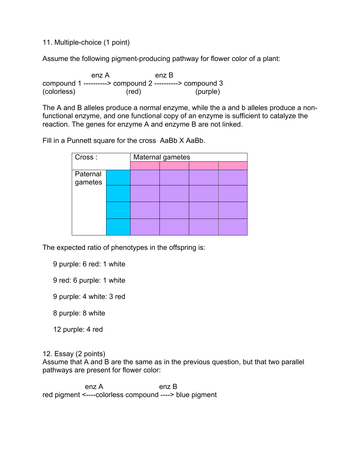11. Multiple-choice (1 point)

Assume the following pigment-producing pathway for flower color of a plant:

 enz A enz B compound 1 ----------> compound 2 ----------> compound 3 (colorless) (red) (purple)

The A and B alleles produce a normal enzyme, while the a and b alleles produce a nonfunctional enzyme, and one functional copy of an enzyme is sufficient to catalyze the reaction. The genes for enzyme A and enzyme B are not linked.

Fill in a Punnett square for the cross AaBb X AaBb.

| Cross:   |  | Maternal gametes |  |  |  |  |
|----------|--|------------------|--|--|--|--|
|          |  |                  |  |  |  |  |
| Paternal |  |                  |  |  |  |  |
| gametes  |  |                  |  |  |  |  |
|          |  |                  |  |  |  |  |
|          |  |                  |  |  |  |  |
|          |  |                  |  |  |  |  |
|          |  |                  |  |  |  |  |
|          |  |                  |  |  |  |  |
|          |  |                  |  |  |  |  |

The expected ratio of phenotypes in the offspring is:

9 purple: 6 red: 1 white

- 9 red: 6 purple: 1 white
- 9 purple: 4 white: 3 red

8 purple: 8 white

12 purple: 4 red

12. Essay (2 points)

Assume that A and B are the same as in the previous question, but that two parallel pathways are present for flower color:

enz A enz B red pigment <----colorless compound ----> blue pigment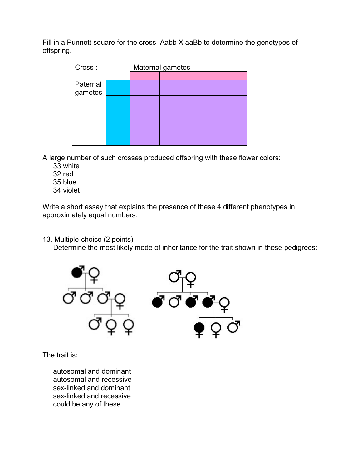Fill in a Punnett square for the cross Aabb X aaBb to determine the genotypes of offspring.

| Cross:   |  | Maternal gametes |  |  |  |  |
|----------|--|------------------|--|--|--|--|
|          |  |                  |  |  |  |  |
| Paternal |  |                  |  |  |  |  |
| gametes  |  |                  |  |  |  |  |
|          |  |                  |  |  |  |  |
|          |  |                  |  |  |  |  |
|          |  |                  |  |  |  |  |
|          |  |                  |  |  |  |  |
|          |  |                  |  |  |  |  |
|          |  |                  |  |  |  |  |

A large number of such crosses produced offspring with these flower colors:

- 33 white
- 32 red
- 35 blue
- 34 violet

Write a short essay that explains the presence of these 4 different phenotypes in approximately equal numbers.

13. Multiple-choice (2 points)

Determine the most likely mode of inheritance for the trait shown in these pedigrees:



The trait is:

autosomal and dominant autosomal and recessive sex-linked and dominant sex-linked and recessive could be any of these